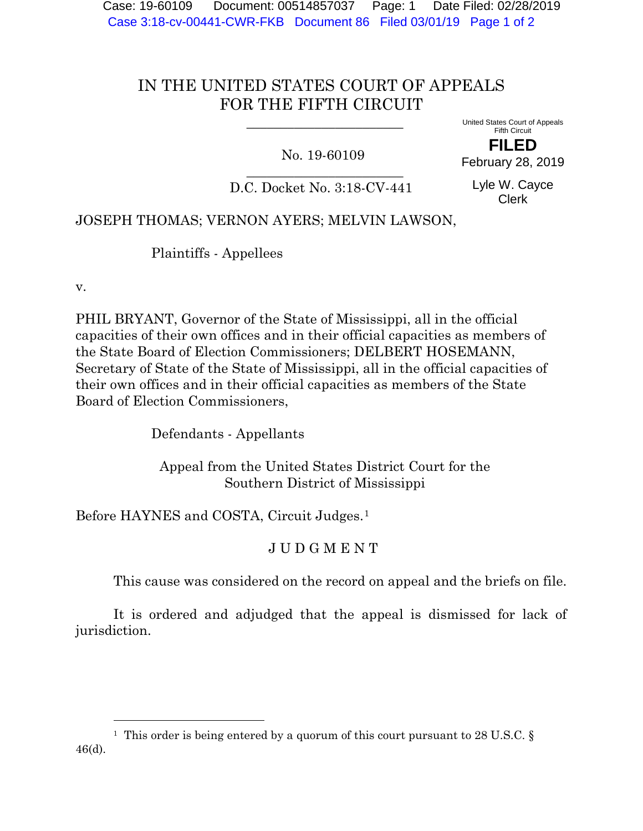Case: 19-60109 Document: 00514857037 Page: 1 Date Filed: 02/28/2019 Case 3:18-cv-00441-CWR-FKB Document 86 Filed 03/01/19 Page 1 of 2

## IN THE UNITED STATES COURT OF APPEALS FOR THE FIFTH CIRCUIT

 $\overline{\phantom{a}}$  ,  $\overline{\phantom{a}}$  ,  $\overline{\phantom{a}}$  ,  $\overline{\phantom{a}}$  ,  $\overline{\phantom{a}}$  ,  $\overline{\phantom{a}}$  ,  $\overline{\phantom{a}}$  ,  $\overline{\phantom{a}}$  ,  $\overline{\phantom{a}}$  ,  $\overline{\phantom{a}}$  ,  $\overline{\phantom{a}}$  ,  $\overline{\phantom{a}}$  ,  $\overline{\phantom{a}}$  ,  $\overline{\phantom{a}}$  ,  $\overline{\phantom{a}}$  ,  $\overline{\phantom{a}}$ 

## No. 19-60109

United States Court of Appeals Fifth Circuit

**FILED** February 28, 2019

 $\overline{\phantom{a}}$  , where  $\overline{\phantom{a}}$  , where  $\overline{\phantom{a}}$  , where  $\overline{\phantom{a}}$ D.C. Docket No. 3:18-CV-441

Lyle W. Cayce Clerk

## JOSEPH THOMAS; VERNON AYERS; MELVIN LAWSON,

Plaintiffs - Appellees

v.

 $\overline{a}$ 

PHIL BRYANT, Governor of the State of Mississippi, all in the official capacities of their own offices and in their official capacities as members of the State Board of Election Commissioners; DELBERT HOSEMANN, Secretary of State of the State of Mississippi, all in the official capacities of their own offices and in their official capacities as members of the State Board of Election Commissioners,

Defendants - Appellants

 Appeal from the United States District Court for the Southern District of Mississippi

Before HAYNES and COSTA, Circuit Judges.<sup>[1](#page-0-0)</sup>

## J U D G M E N T

This cause was considered on the record on appeal and the briefs on file.

It is ordered and adjudged that the appeal is dismissed for lack of jurisdiction.

<span id="page-0-0"></span><sup>&</sup>lt;sup>1</sup> This order is being entered by a quorum of this court pursuant to 28 U.S.C. § 46(d).